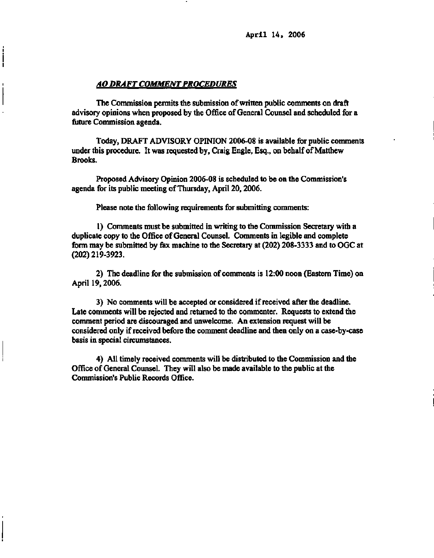**April 14, 2006** 

#### *AO DRAFT COMMENT PROCEDURES*

ļ

**The Commission permits the submission of written public comments on draft advisory opinions when proposed by the Office of General Counsel and scheduled for a future Commission agenda.** 

**Today, DRAFT ADVISORY OPINION 2006-08 is available for public comments under this procedure. It was requested by, Craig Engle, Esq., on behalf of Matthew Brooks.** 

**Proposed Advisory Opinion 2006-08 is scheduled to be on the Commission's agenda for its public meeting of Thursday, April 20,2006.** 

**Please note the following requirements for submitting comments:** 

**1) Comments must be submitted in writing to the Commission Secretary with a duplicate copy to the Office of General Counsel. Comments in legible and complete form may be submitted by fax machine to the Secretary at (202) 208-3333 and to OGC at (202)219-3923.** 

**2) The deadline for the submission of comments is 12:00 noon (Eastern Time) on April 19,2006.** 

**3) No comments will be accepted or considered if received after the deadline. Late comments will be rejected and returned to the commenter. Requests to extend the comment period are discouraged and unwelcome. An extension request will be considered only if received before the comment deadline and then only on a case-by-case basis in special circumstances.** 

**4) All timely received comments will be distributed to the Commission and the Office of General Counsel. They will also be made available to the public at the Commission's Public Records Office.**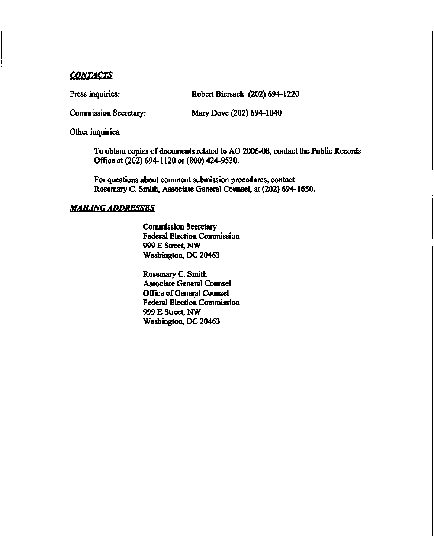# *CONTACTS*

Press inquiries: Robert Biersack (202) 694-1220

Commission Secretary: Mary Dove (202) 694-1040

Other inquiries:

To obtain copies of documents related to AO 2006-08, contact the Public Records Office at (202) 694-1120 or (800) 424-9530.

For questions about comment submission procedures, contact Rosemary C. Smith, Associate General Counsel, at (202) 694-1650.

#### *MAILING ADDRESSES*

Commission Secretary Federal Election Commission 999 E Street, NW Washington, DC 20463

Rosemary C. Smith Associate General Counsel Office of General Counsel Federal Election Commission 999 E Street, NW Washington, DC 20463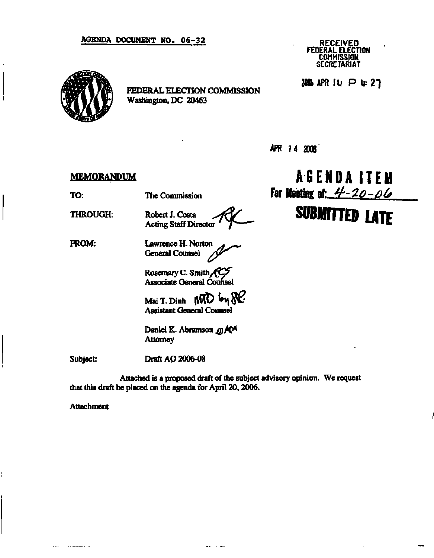#### **AGENDA DOCUMENT NO. 06-32**



 $\ddot{\cdot}$ 

ł

**FEDERAL ELECTION COMMISSION Washington, DC 20463** 

**RECEIVED FEDERAL ELECTION COMMISSION SECRETARIAT** 

2006 APR IU P 4:27

**APR T4 2006** 

#### **MEMORANDUM**

**TO:** 

**The Commission** 

**THROUGH:** 

**Robert J. Costa Acting Staff Director** 

**FROM:**  Lawrence H. Norton **General Counsel** */)r* 

> **Rosemary C. Smith/^G? Associate General Counsel**

Mai T. Dinh **MTD** by  $\aleph$ . **Assistant General Counsel** 

Daniel K. Abramson  $\omega$ ) **A** <sup>*A*</sup> **Attorney** 

**Subject:** 

**Draft AO 2006-08** 

**Attached is a proposed draft of the subject advisory opinion. We request that this draft be placed on the agenda for April 20,2006.** 

 $\frac{1}{2}$  .  $\frac{1}{2}$ 

**Attachment** 

and the more of the second contract of the second contract of the second contract of the second contract of the

**AGENDA ITEM For Meeting afr tJ-lo-ota** 

# **SUBMITTED LATE**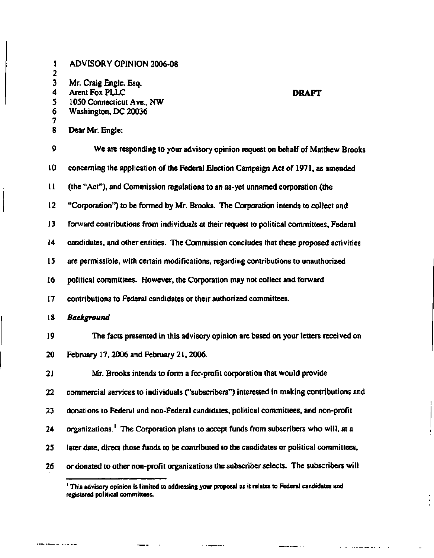| $\mathbf{I}$<br>$\mathbf{2}$ | <b>ADVISORY OPINION 2006-08</b>                                                                   |
|------------------------------|---------------------------------------------------------------------------------------------------|
| $\overline{\mathbf{3}}$<br>4 | Mr. Craig Engle, Esq.<br><b>Arent Fox PLLC</b><br><b>DRAFT</b>                                    |
| 5                            | 1050 Connecticut Ave., NW                                                                         |
| 6<br>7                       | Washington, DC 20036                                                                              |
| 8                            | Dear Mr. Engle:                                                                                   |
| 9                            | We are responding to your advisory opinion request on behalf of Matthew Brooks                    |
| 10                           | concerning the application of the Federal Election Campaign Act of 1971, as amended               |
| 11                           | (the "Act"), and Commission regulations to an as-yet unnamed corporation (the                     |
| $12 \overline{ }$            | "Corporation") to be formed by Mr. Brooks. The Corporation intends to collect and                 |
| 13                           | forward contributions from individuals at their request to political committees, Federal          |
| 14                           | candidates, and other entities. The Commission concludes that these proposed activities           |
| 15                           | are permissible, with certain modifications, regarding contributions to unauthorized              |
| 16                           | political committees. However, the Corporation may not collect and forward                        |
| 17                           | contributions to Federal candidates or their authorized committees.                               |
| 18                           | <b>Background</b>                                                                                 |
| 19                           | The facts presented in this advisory opinion are based on your letters received on                |
| 20                           | February 17, 2006 and February 21, 2006.                                                          |
| 21                           | Mr. Brooks intends to form a for-profit corporation that would provide                            |
| 22                           | commercial services to individuals ("subscribers") interested in making contributions and         |
| 23                           | donations to Federal and non-Federal candidates, political committees, and non-profit             |
| 24                           | organizations. <sup>1</sup> The Corporation plans to accept funds from subscribers who will, at a |
| 25                           | later date, direct those funds to be contributed to the candidates or political committees,       |
| 26                           | or donated to other non-profit organizations the subscriber selects. The subscribers will         |

 $\begin{array}{c} \end{array}$ 

i

 $\overline{\phantom{a}}$ 

للمستمر للملت

 $\frac{1}{2}$  , and  $\frac{1}{2}$  , and  $\frac{1}{2}$  , and  $\frac{1}{2}$  , and  $\frac{1}{2}$  , and  $\frac{1}{2}$ 

 $\frac{1}{1}$ 

 $\equiv$ 

and the component of the contract of the component of the  $\alpha$  -  $\alpha$ 

**<sup>1</sup> This advisory opinion is limited to addressing your proposal as it relates to Federal candidates and registered political committees.**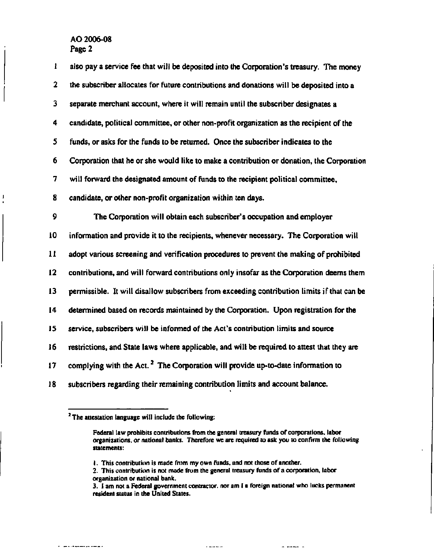$\mathbf{I}$ 

| I           | also pay a service fee that will be deposited into the Corporation's treasury. The money    |
|-------------|---------------------------------------------------------------------------------------------|
| $\mathbf 2$ | the subscriber allocates for future contributions and donations will be deposited into a    |
| 3           | separate merchant account, where it will remain until the subscriber designates a           |
| 4           | candidate, political committee, or other non-profit organization as the recipient of the    |
| 5           | funds, or asks for the funds to be returned. Once the subscriber indicates to the           |
| 6           | Corporation that he or she would like to make a contribution or donation, the Corporation   |
| 7           | will forward the designated amount of funds to the recipient political committee.           |
| 8           | candidate, or other non-profit organization within ten days.                                |
| 9           | The Corporation will obtain each subscriber's occupation and employer                       |
| 10          | information and provide it to the recipients, whenever necessary. The Corporation will      |
| 11          | adopt various screening and verification procedures to prevent the making of prohibited     |
| 12          | contributions, and will forward contributions only insofar as the Corporation deems them    |
| 13          | permissible. It will disallow subscribers from exceeding contribution limits if that can be |
| 14          | determined based on records maintained by the Corporation. Upon registration for the        |
| 15          | service, subscribers will be informed of the Act's contribution limits and source           |
| 16          | restrictions, and State laws where applicable, and will be required to attest that they are |
| 17          | complying with the Act. <sup>2</sup> The Corporation will provide up-to-date information to |
| 18          | subscribers regarding their remaining contribution limits and account balance.              |

**<sup>2</sup> The attestation language will include the following:** 

a mara da dan bara da san san san sa

**Federal law prohibits contributions from the general treasury funds of corporations, labor organizations, or national banks. Therefore we are required to ask you to confirm the following statements:** 

**<sup>1.</sup> This contribution is made from my own funds, and not those of another.** 

**<sup>2.</sup> This contribution is not made from the general treasury funds of a corporation, labor organization or national bank.** 

**<sup>3.</sup> I am not a Federal government contractor, nor am I a foreign national who lacks permanent resident status in the United States.**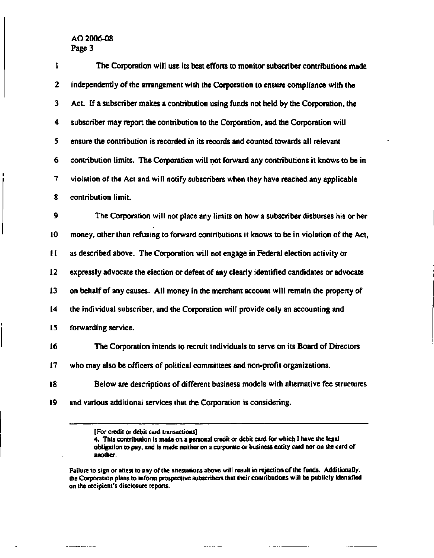| 1                       | The Corporation will use its best efforts to monitor subscriber contributions made          |
|-------------------------|---------------------------------------------------------------------------------------------|
| $\mathbf 2$             | independently of the arrangement with the Corporation to ensure compliance with the         |
| $\overline{\mathbf{3}}$ | Act. If a subscriber makes a contribution using funds not held by the Corporation, the      |
| 4                       | subscriber may report the contribution to the Corporation, and the Corporation will         |
| 5                       | ensure the contribution is recorded in its records and counted towards all relevant         |
| 6                       | contribution limits. The Corporation will not forward any contributions it knows to be in   |
| 7                       | violation of the Act and will notify subscribers when they have reached any applicable      |
| 8                       | contribution limit.                                                                         |
| 9                       | The Corporation will not place any limits on how a subscriber disburses his or her          |
| 10                      | money, other than refusing to forward contributions it knows to be in violation of the Act, |
| $\bf{11}$               | as described above. The Corporation will not engage in Federal election activity or         |
| 12                      | expressly advocate the election or defeat of any clearly identified candidates or advocate  |
| 13                      | on behalf of any causes. All money in the merchant account will remain the property of      |
| 14                      | the individual subscriber, and the Corporation will provide only an accounting and          |
| 15                      | forwarding service.                                                                         |
| 16                      | The Corporation intends to recruit individuals to serve on its Board of Directors           |
| 17                      | who may also be officers of political committees and non-profit organizations.              |
| 18                      | Below are descriptions of different business models with alternative fee structures         |
| 19                      | and various additional services that the Corporation is considering.                        |
|                         |                                                                                             |

**<sup>[</sup>For credit or debit card transactions]** 

\_\_\_\_\_\_\_\_\_

 $\ddot{\phantom{a}}$ 

J.

**4. This contribution is made on a personal credit or debit card for which I have the legal obligation to pay, and is made neither on a corporate or business entity card nor on the card of another.** 

**Failure to sign or attest to any of' the attestations above will result in rejection of the funds. Additionally. the Corporation plans to inform prospective subscribers that their contributions will be publicly identified on the recipient's disclosure reports.** 

 $\epsilon$  -rank -rank

 $\ddot{\phantom{a}}$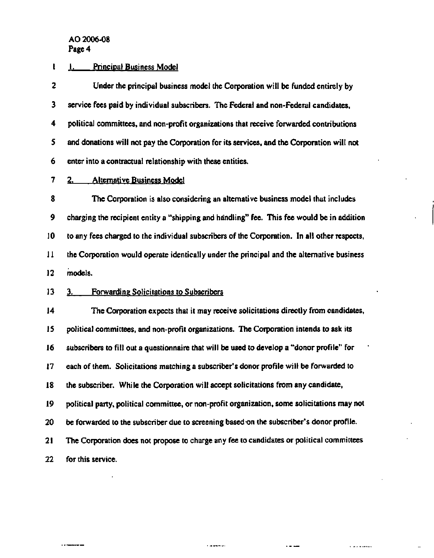## **1 I. Principal Business Model**

**2 Under the principal business model the Corporation will be funded entirely by 3 service fees paid by individual subscribers. The Federal and non-Federal candidates, 4 political committees, and non-profit organizations that receive forwarded contributions 5 and donations will not pay the Corporation for its services, and the Corporation will not 6 enter into a contractual relationship with these entities.** 

# **7 2. Alternative Business Model**

**8 The Corporation is also considering an alternative business model that includes 9 charging the recipient entity a "shipping and handling" fee. This fee would be in addition 10 to any fees charged to the individual subscribers of the Corporation. In all other respects, 11 the Corporation would operate identically under the principal and the alternative business 12 models.** 

## **13 3. Forwarding Solicitations to Subscribers**

**14 The Corporation expects that it may receive solicitations directly from candidates, 15 political committees, and non-profit organizations. The Corporation intends to ask its 16 subscribers to fill out a questionnaire that will be used to develop a "donor profile" for 17 each of them. Solicitations matching a subscriber's donor profile will be forwarded to 18 the subscriber. While the Corporation will accept solicitations from any candidate, 19 political party, political committee, or non-profit organization, some solicitations may not 20 be forwarded to the subscriber due to screening based on the subscriber's donor profile. 21 The Corporation does not propose to charge any fee to candidates or political committees 22 for this service.** 

ومردما ومعاملات

. . . . . . . . .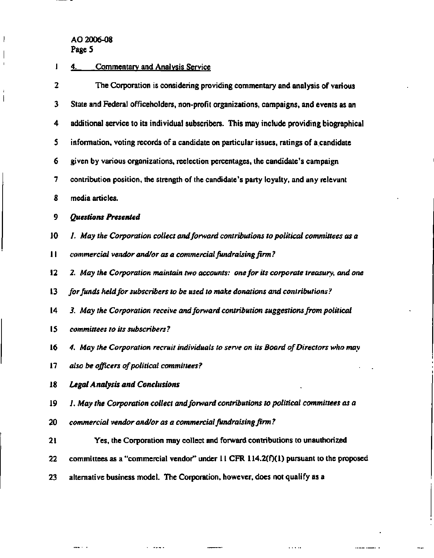$\frac{1}{2}$ 

 $\beta$  , and  $\alpha$ 

 $\boldsymbol{\mathsf{I}}$ 

 $\overline{\phantom{a}}$  $\mathbf{I}$ 

 $\cdot$  $\begin{array}{c} \hline \end{array}$ 

# **1 4. Commentary and Analysis Service**

| $\overline{\mathbf{2}}$ | The Corporation is considering providing commentary and analysis of various               |
|-------------------------|-------------------------------------------------------------------------------------------|
| 3                       | State and Federal officeholders, non-profit organizations, campaigns, and events as an    |
| 4                       | additional service to its individual subscribers. This may include providing biographical |
| 5                       | information, voting records of a candidate on particular issues, ratings of a candidate   |
| 6                       | given by various organizations, reelection percentages, the candidate's campaign          |
| 7                       | contribution position, the strength of the candidate's party loyalty, and any relevant    |
| 8                       | media articles.                                                                           |
| 9                       | <b>Questions Presented</b>                                                                |
| 10                      | 1. May the Corporation collect and forward contributions to political committees as a     |
| $\mathbf{H}$            | commercial vendor and/or as a commercial fundraising firm?                                |
| 12                      | 2. May the Corporation maintain two accounts: one for its corporate treasury, and one     |
| 13                      | for funds held for subscribers to be used to make donations and contributions?            |
| 14                      | 3. May the Corporation receive and forward contribution suggestions from political        |
| 15                      | committees to its subscribers?                                                            |
| 16                      | 4. May the Corporation recruit individuals to serve on its Board of Directors who may     |
| 17                      | also be officers of political committees?                                                 |
| 18                      | <b>Legal Analysis and Conclusions</b>                                                     |
| 19                      | 1. May the Corporation collect and forward contributions to political committees as a     |
| 20                      | commercial vendor and/or as a commercial fundraising firm?                                |
| 21                      | Yes, the Corporation may collect and forward contributions to unauthorized                |
| 22                      | committees as a "commercial vendor" under $11$ CFR $114.2(f)(1)$ pursuant to the proposed |
| 23                      | alternative business model. The Corporation, however, does not qualify as a               |

.<br>..

 $\ddot{\phantom{1}}$ 

 $\bar{\nu}$  and  $\bar{\nu}$ 

 $\cdots \cdots \cdots \cdots \cdots \cdots$ 

bha ga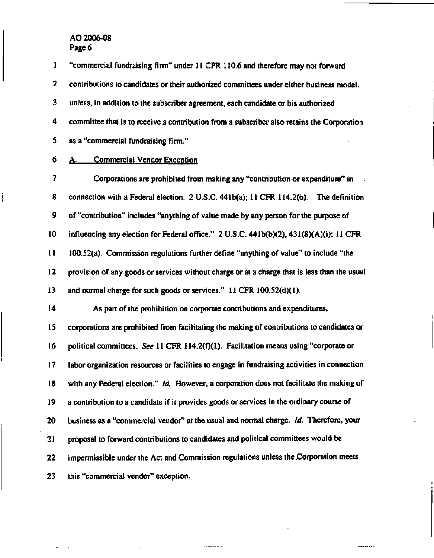**1 "commercial fundraising firm" under 11 CFR 110.6 and therefore may not forward 2 contributions to candidates or their authorized committees under either business model. 3 unless, in addition to the subscriber agreement, each candidate or his authorized 4 committee that is to receive a contribution from a subscriber also retains the Corporation 5 as a "commercial fundraising firm." 6 A. Commercial Vendor Exception 7 Corporations are prohibited from making any "contribution or expenditure" in 8 connection with a Federal election. 2 U.S.C. 441b(a); 11 CFR 114.2(b). The definition 9 of "contribution" includes "anything of value made by any person for the purpose of 10 influencing any election for Federal office." 2 U.S.C. 441b(b)(2), 431(8)(A)(i); 11 CFR 11 100.52(a). Commission regulations further define "anything of value" to include "the 12 provision of any goods or services without charge or at a charge that is less than the usual 13 and normal charge for such goods or services." 11 CFR 100.52(d)(1). 14 As part of the prohibition on corporate contributions and expenditures, 15 corporations are prohibited from facilitating the making of contributions to candidates or**  16 political committees. See 11 CFR 114.2(f)(1). Facilitation means using "corporate or **17 labor organization resources or facilities to engage in fundraising activities in connection 18 with any Federal election."** *Id.* **However, a corporation does not facilitate the making of 19 a contribution to a candidate if it provides goods or services in the ordinary course of 20 business as a "commercial vendor" at the usual and normal charge.** *Id.* **Therefore, your 21 proposal to forward contributions to candidates and political committees would be 22 impermissible under the Act and Commission regulations unless the .Corporation meets 23 this "commercial vendor" exception.** 

**i**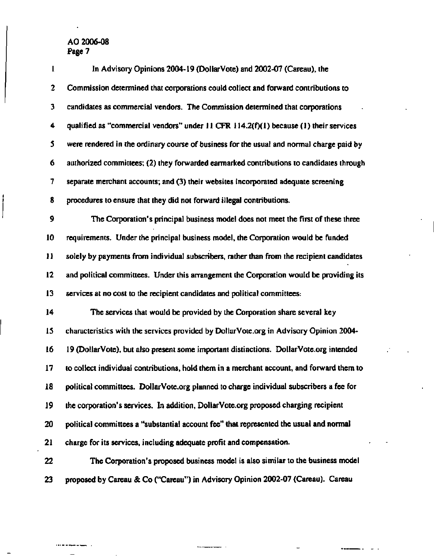| $\mathbf{I}$    | In Advisory Opinions 2004-19 (DollarVote) and 2002-07 (Careau), the                       |
|-----------------|-------------------------------------------------------------------------------------------|
| 2               | Commission determined that corporations could collect and forward contributions to        |
| 3               | candidates as commercial vendors. The Commission determined that corporations             |
| 4               | qualified as "commercial vendors" under $11$ CFR $114.2(f)(1)$ because (1) their services |
| 5               | were rendered in the ordinary course of business for the usual and normal charge paid by  |
| 6               | authorized committees; (2) they forwarded earmarked contributions to candidates through   |
| 7               | separate merchant accounts; and (3) their websites incorporated adequate screening        |
| 8               | procedures to ensure that they did not forward illegal contributions.                     |
| 9               | The Corporation's principal business model does not meet the first of these three         |
| 10              | requirements. Under the principal business model, the Corporation would be funded         |
| 11              | solely by payments from individual subscribers, rather than from the recipient candidates |
| 12 <sub>2</sub> | and political committees. Under this arrangement the Corporation would be providing its   |
| 13              | services at no cost to the recipient candidates and political committees:                 |
| 14              | The services that would be provided by the Corporation share several key                  |
| 15              | characteristics with the services provided by DollarVote.org in Advisory Opinion 2004-    |
| 16              | 19 (DollarVote), but also present some important distinctions. DollarVote.org intended    |
| 17              | to collect individual contributions, hold them in a merchant account, and forward them to |
| 18              | political committees. DollarVote.org planned to charge individual subscribers a fee for   |
| 19              | the corporation's services. In addition, DollarVote.org proposed charging recipient       |
| 20              | political committees a "substantial account fee" that represented the usual and normal    |
| 21              | charge for its services, including adequate profit and compensation.                      |
| 22              | The Corporation's proposed business model is also similar to the business model           |
| 23              | proposed by Careau & Co ("Careau") in Advisory Opinion 2002-07 (Careau). Careau           |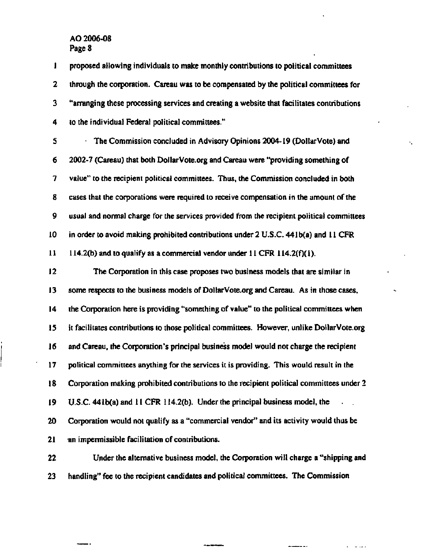**1 proposed allowing individuals to make monthly contributions to political committees 2 through the corporation. Careau was to be compensated by the political committees for 3 "arranging these processing services and creating a website that facilitates contributions 4 to the individual Federal political committees." 5 The Commission concluded in Advisory Opinions 2004-19 (DollarVote) and 6 2002-7 (Careau) that both<DollarVote.org>and Careau were "providing something of 7 value" to the recipient political committees. Thus, the Commission concluded in both 8 cases that the corporations were required to receive compensation in the amount of the 9 usual and normal charge for the services provided from the recipient political committees 10 in order to avoid making prohibited contributions under 2 U.S.C. 441 b(a) and 11 CFR 11 114.2(b) and to qualify as a commercial vendor under 11 CFR 114.2(f)( 1). 12 The Corporation in this case proposes two business models that are similar in 13 some respects to the business models of [DollarVote.org a](DollarVote.org)nd Careau. As in those cases, 14 the Corporation here is providing "something of value" to the political committees when 15 it facilitates contributions to those political committees. However, unlike<DollarVote.org> 16 and Careau, the Corporation's principal business model would not charge the recipient 17 political committees anything for the services it is providing. This would result in the 18 Corporation making prohibited contributions to the recipient political committees under 2 19 U.S.C. 441b(a) and 11 CFR 114.2(b). Under the principal business model, the 20 Corporation would not qualify as a "commercial vendor" and its activity would thus be 21 an impermissible facilitation of contributions. 22 Under the alternative business model, the Corporation will charge a "shipping and 23 handling" fee to the recipient candidates and political committees. The Commission**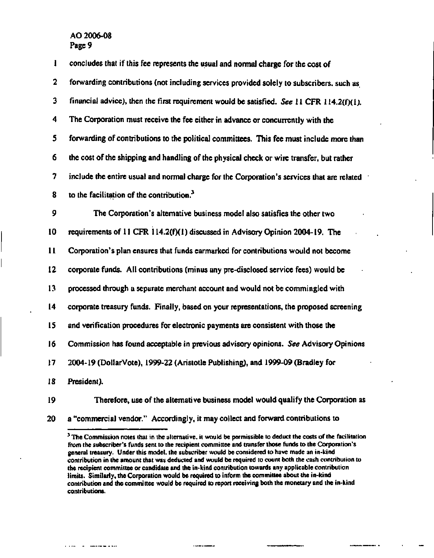| 1              | concludes that if this fee represents the usual and normal charge for the cost of          |
|----------------|--------------------------------------------------------------------------------------------|
| $\overline{2}$ | forwarding contributions (not including services provided solely to subscribers, such as   |
| 3              | financial advice), then the first requirement would be satisfied. See 11 CFR 114.2(f)(1).  |
| 4              | The Corporation must receive the fee either in advance or concurrently with the            |
| 5              | forwarding of contributions to the political committees. This fee must include more than   |
| 6              | the cost of the shipping and handling of the physical check or wire transfer, but rather   |
| 7              | include the entire usual and normal charge for the Corporation's services that are related |
| 8              | to the facilitation of the contribution. $3$                                               |
| 9              | The Corporation's alternative business model also satisfies the other two                  |
| 10             | requirements of 11 CFR 114.2(f)(1) discussed in Advisory Opinion 2004-19. The              |
| 11             | Corporation's plan ensures that funds earmarked for contributions would not become         |
| 12             | corporate funds. All contributions (minus any pre-disclosed service fees) would be         |
| 13             | processed through a separate merchant account and would not be commingled with             |
| 14             | corporate treasury funds. Finally, based on your representations, the proposed screening   |
| 15             | and verification procedures for electronic payments are consistent with those the          |
| 16.            | Commission has found acceptable in previous advisory opinions. See Advisory Opinions       |
| 17             | 2004-19 (DollarVote), 1999-22 (Aristotle Publishing), and 1999-09 (Bradley for             |
| 18             | President).                                                                                |
| 19             | Therefore, use of the alternative business model would qualify the Corporation as          |

a concern and more companies

**20 a "commercial vendor." Accordingly, it may collect and forward contributions to** 

**Continue** 

**<sup>3</sup> The Commission notes that in the alternative, it would be permissible to deduct the costs of the facilitation from the subscriber's funds sent to the recipient committee and transfer those funds to the Corporation's general treasury. Under this model, the subscriber would be considered to have made an in-kind contribution in the amount that was deducted and would be required to count both the cash contribution to the recipient committee or candidate and the in-kind contribution towards any applicable contribution limits. Similarly, the Corporation would be required to inform the committee about the in-kind contribution and the committee would be required to report receiving both the monetary and the in-kind contributions.**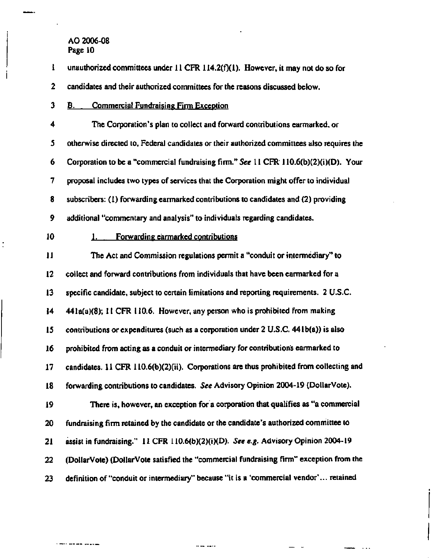**1** unauthorized committees under 11 CFR 114.2(f)(1). However, it may not do so for

**2 candidates and their authorized committees for the reasons discussed below.** 

**3 B. Commercial Fundraising Firm Exception** 

**4 The Corporation's plan to collect and forward contributions earmarked, or 5 otherwise directed to, Federal candidates or their authorized committees also requires the 6 Corporation to be a "commercial fundraising firm."** *See* **11 CFR 110.6(b)(2)(i)(D). Your 7 proposal includes two types of services that the Corporation might offer to individual 8 subscribers: (1) forwarding earmarked contributions to candidates and (2) providing 9 additional "commentary and analysis" to individuals regarding candidates.** 

## **10 1. Forwarding earmarked contributions**

**11 The Act and Commission regulations permit a "conduit or intermediary" to 12 collect and forward contributions from individuals that have been earmarked for a 13 specific candidate, subject to certain limitations and reporting requirements. 2 U.S.C. 14 441a(a)(8); 11 CFR 110.6. However, any person who is prohibited from making 15 contributions or expenditures (such as a corporation under 2 U.S.C. 441b(a)) is also 16 prohibited from acting as a conduit or intermediary for contributions earmarked to 17 candidates. 11 CFR 110.6(b)(2)(ii). Corporations are thus prohibited from collecting and 18 forwarding contributions to candidates.** *See* **Advisory Opinion 2004-19 (DollarVote). 19 There is, however, an exception for a corporation that qualifies as "a commercial 20 fundraising firm retained by the candidate or the candidate's authorized committee to 21 assist in fundraising." 11 CFR 110.6(b)(2)(i)(D).** *See e.g.* **Advisory Opinion 2004-19 22 (DollarVote) (DollarVote satisfied the "commercial fundraising firm" exception from the 23 definition of "conduit or intermediary" because "it is a 'commercial vendor'... retained**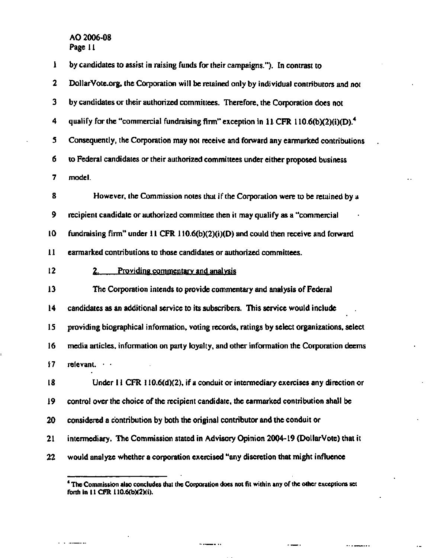$\sim$   $\sim$ 

.. ..

| ı            | by candidates to assist in raising funds for their campaigns."). In contrast to                   |
|--------------|---------------------------------------------------------------------------------------------------|
| $\mathbf{2}$ | DollarVote.org, the Corporation will be retained only by individual contributors and not          |
| 3            | by candidates or their authorized committees. Therefore, the Corporation does not                 |
| 4            | qualify for the "commercial fundraising firm" exception in 11 CFR 110.6(b)(2)(i)(D). <sup>4</sup> |
| 5            | Consequently, the Corporation may not receive and forward any earmarked contributions             |
| б            | to Federal candidates or their authorized committees under either proposed business               |
| 7            | model.                                                                                            |
| 8            | However, the Commission notes that if the Corporation were to be retained by a                    |
| 9            | recipient candidate or authorized committee then it may qualify as a "commercial                  |
| 10           | fundraising firm" under 11 CFR 110.6(b)(2)(i)(D) and could then receive and forward               |
| 11           | earmarked contributions to those candidates or authorized committees.                             |
| 12           | Providing commentary and analysis<br>2.                                                           |
|              |                                                                                                   |
| 13           | The Corporation intends to provide commentary and analysis of Federal                             |
| 14           | candidates as an additional service to its subscribers. This service would include                |
| 15           | providing biographical information, voting records, ratings by select organizations, select       |
| 16           | media articles, information on party loyalty, and other information the Corporation deems         |
| 17           | relevant.                                                                                         |
| 18           | Under $11$ CFR $110.6(d)(2)$ , if a conduit or intermediary exercises any direction or            |
| 19           | control over the choice of the recipient candidate, the earmarked contribution shall be           |
| 20           | considered a contribution by both the original contributor and the conduit or                     |
| 21           | intermediary. The Commission stated in Advisory Opinion 2004-19 (DollarVote) that it              |

**<sup>4</sup> The Commission also concludes that the Corporation does not fit within any of the other exceptions set forth in 11 CFR 110.6(b)(2)(i).** 

....

 $\cdots$ .....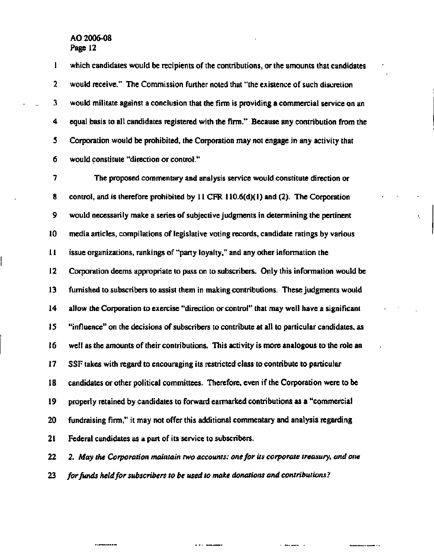**1 which candidates would be recipients of the contributions, or the amounts that candidates**  2 would receive." The Commission further noted that "the existence of such discretion **3 would militate against a conclusion that the firm is providing a commercial service on an 4 equal basis to all candidates registered with the firm." Because any contribution from the 5 Corporation would be prohibited, the Corporation may not engage in any activity that 6 would constitute "direction or control."** 

**7 The proposed commentary and analysis service would constitute direction or 8 control, and is therefore prohibited by 11 CFR 110.6(d)(1) and (2). The Corporation 9 would necessarily make a series of subjective judgments in determining the pertinent 10 media articles, compilations of legislative voting records, candidate ratings by various 11 issue organizations, rankings of "party loyalty," and any other information the 12 Corporation deems appropriate to pass on to subscribers. Only this information would be 13 furnished to subscribers to assist them in making contributions. These judgments would 14 allow the Corporation to exercise "direction or control" that may well have a significant 15 "influence" on the decisions of subscribers to contribute at all to particular candidates, as 16 well as the amounts of their contributions. This activity is more analogous to the role an 17 SSF takes with regard to encouraging its restricted class to contribute to particular 18 candidates or other political committees. Therefore, even if the Corporation were to be 19 properly retained by candidates to forward earmarked contributions as a "commercial 20 fundraising firm," it may not offer this additional commentary and analysis regarding 21 Federal candidates as a part of its service to subscribers.** 

**22** *2. May the Corporation maintain two accounts: one for its corporate treasury, and one*  **23** *for funds held for subscribers to be used to make donations and contributions?* 

--- ---

دا المستوفية الم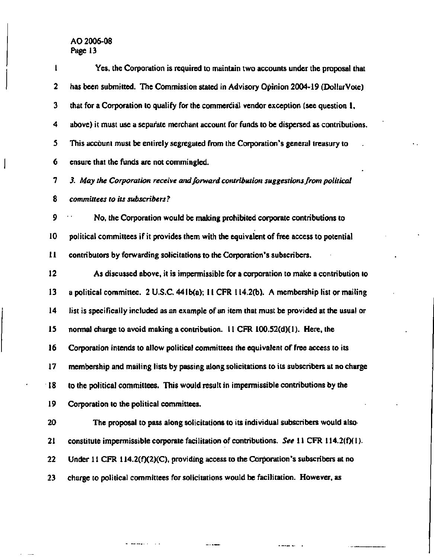$\overline{\phantom{a}}$ 

| 1            | Yes, the Corporation is required to maintain two accounts under the proposal that            |
|--------------|----------------------------------------------------------------------------------------------|
| $\mathbf 2$  | has been submitted. The Commission stated in Advisory Opinion 2004-19 (DollarVote)           |
| 3            | that for a Corporation to qualify for the commercial vendor exception (see question 1,       |
| 4            | above) it must use a separate merchant account for funds to be dispersed as contributions.   |
| 5            | This account must be entirely segregated from the Corporation's general treasury to          |
| 6            | ensure that the funds are not commingled.                                                    |
| 7            | 3. May the Corporation receive and forward contribution suggestions from political           |
| 8            | committees to its subscribers?                                                               |
| 9            | No, the Corporation would be making prohibited corporate contributions to                    |
| 10           | political committees if it provides them with the equivalent of free access to potential     |
| $\mathbf{H}$ | contributors by forwarding solicitations to the Corporation's subscribers.                   |
| $12 \,$      | As discussed above, it is impermissible for a corporation to make a contribution to          |
| 13           | a political committee. 2 U.S.C. 441b(a); 11 CFR 114.2(b). A membership list or mailing       |
| 14           | list is specifically included as an example of an item that must be provided at the usual or |
| 15           | normal charge to avoid making a contribution. 11 CFR 100.52(d)(1). Here, the                 |
| 16           | Corporation intends to allow political committees the equivalent of free access to its       |
| 17           | membership and mailing lists by passing along solicitations to its subscribers at no charge  |
| 18           | to the political committees. This would result in impermissible contributions by the         |
| 19           | Corporation to the political committees.                                                     |
| 20           | The proposal to pass along solicitations to its individual subscribers would also-           |
| 21           | constitute impermissible corporate facilitation of contributions. See 11 CFR 114.2(f)(1).    |
| 22           | Under 11 CFR $114.2(f)(2)(C)$ , providing access to the Corporation's subscribers at no      |
| 23           | charge to political committees for solicitations would be facilitation. However, as          |

 $\ddot{\phantom{0}}$ 

 $\alpha$  and  $\alpha$ 

 $\overline{\phantom{a}}$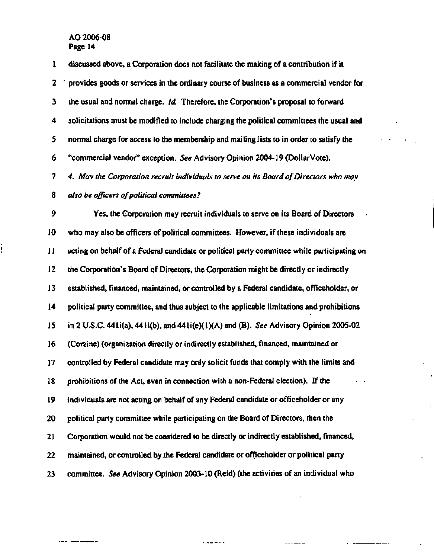$\frac{1}{2}$ 

**1 discussed above, a Corporation does not facilitate the making of a contribution if it**  2 provides goods or services in the ordinary course of business as a commercial vendor for **3 the usual and normal charge.** *Id.* **Therefore, the Corporation's proposal to forward 4 solicitations must be modified to include charging the political committees the usual and 5 normal charge for access to the membership and mailing-lists to in order to satisfy the 6 "commercial vendor" exception.** *See* **Advisory Opinion 2004-19 (DollarVote).**  7 4. May the Corporation recruit individuals to serve on its Board of Directors who may 8 *also be officers of political committees?*  **9 Yes, the Corporation may recruit individuals to serve on its Board of Directors 10 who may also be officers of political committees. However, if these individuals are 11 acting on behalf of a Federal candidate or political party committee while participating on 12 the Corporation's Board of Directors, the Corporation might be directly or indirectly 13 established, financed, maintained, or controlled by a Federal candidate, officeholder, or 14 political party committee, and thus subject to the applicable limitations and prohibitions 15 in 2 U.S.C. 441i(a), 441i(b), and 441i(e)(l)(A) and (B).** *See* **Advisory Opinion 2005-02 16 (Corzine) (organization directly or indirectly established,.financed, maintained or 17 controlled by Federal candidate may only solicit funds that comply with the limits and 18 prohibitions of the Act, even in connection with a non-Federal election). If the 19 individuals are not acting on behalf of any Federal candidate or officeholder or any 20 political party committee while participating on the Board of Directors, then the 21 Corporation would not be considered to be directly or indirectly established, financed, 22 maintained, or controlled by .the Federal candidate or officeholder or political party** 

**23 committee.** *See* **Advisory Opinion 2003-10 (Reid) (the activities of an individual who** 

 $\frac{1}{2}$  and  $\frac{1}{2}$  are  $\frac{1}{2}$  and  $\frac{1}{2}$ 

**Contract Contract Contract Contract** 

Ť.